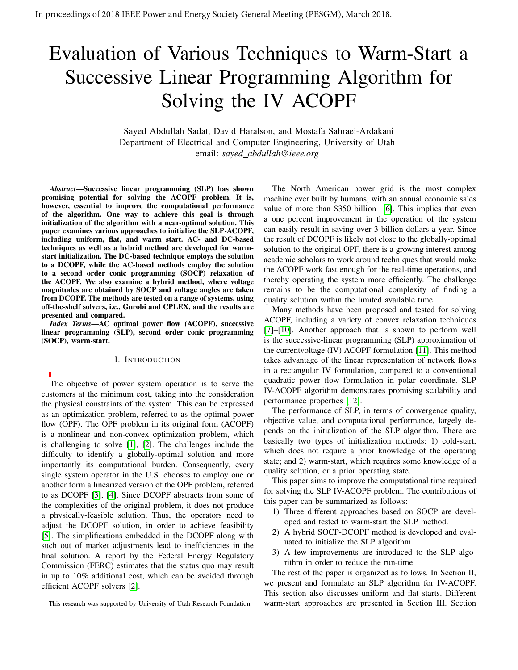# Evaluation of Various Techniques to Warm-Start a Successive Linear Programming Algorithm for Solving the IV ACOPF

Sayed Abdullah Sadat, David Haralson, and Mostafa Sahraei-Ardakani Department of Electrical and Computer Engineering, University of Utah email: *sayed abdullah@ieee.org*

*Abstract*—Successive linear programming (SLP) has shown promising potential for solving the ACOPF problem. It is, however, essential to improve the computational performance of the algorithm. One way to achieve this goal is through initialization of the algorithm with a near-optimal solution. This paper examines various approaches to initialize the SLP-ACOPF, including uniform, flat, and warm start. AC- and DC-based techniques as well as a hybrid method are developed for warmstart initialization. The DC-based technique employs the solution to a DCOPF, while the AC-based methods employ the solution to a second order conic programming (SOCP) relaxation of the ACOPF. We also examine a hybrid method, where voltage magnitudes are obtained by SOCP and voltage angles are taken from DCOPF. The methods are tested on a range of systems, using off-the-shelf solvers, i.e., Gurobi and CPLEX, and the results are presented and compared.

*Index Terms*—AC optimal power flow (ACOPF), successive linear programming (SLP), second order conic programming (SOCP), warm-start.

## I. INTRODUCTION

The objective of power system operation is to serve the customers at the minimum cost, taking into the consideration the physical constraints of the system. This can be expressed as an optimization problem, referred to as the optimal power flow (OPF). The OPF problem in its original form (ACOPF) is a nonlinear and non-convex optimization problem, which is challenging to solve [\[1\]](#page-4-0), [\[2\]](#page-4-1). The challenges include the difficulty to identify a globally-optimal solution and more importantly its computational burden. Consequently, every single system operator in the U.S. chooses to employ one or another form a linearized version of the OPF problem, referred to as DCOPF [\[3\]](#page-4-2), [\[4\]](#page-4-3). Since DCOPF abstracts from some of the complexities of the original problem, it does not produce a physically-feasible solution. Thus, the operators need to adjust the DCOPF solution, in order to achieve feasibility [\[5\]](#page-4-4). The simplifications embedded in the DCOPF along with such out of market adjustments lead to inefficiencies in the final solution. A report by the Federal Energy Regulatory Commission (FERC) estimates that the status quo may result in up to 10% additional cost, which can be avoided through efficient ACOPF solvers [\[2\]](#page-4-1).

This research was supported by University of Utah Research Foundation.

The North American power grid is the most complex machine ever built by humans, with an annual economic sales value of more than \$350 billion [\[6\]](#page-4-5). This implies that even a one percent improvement in the operation of the system can easily result in saving over 3 billion dollars a year. Since the result of DCOPF is likely not close to the globally-optimal solution to the original OPF, there is a growing interest among academic scholars to work around techniques that would make the ACOPF work fast enough for the real-time operations, and thereby operating the system more efficiently. The challenge remains to be the computational complexity of finding a quality solution within the limited available time.

Many methods have been proposed and tested for solving ACOPF, including a variety of convex relaxation techniques [\[7\]](#page-4-6)–[\[10\]](#page-4-7). Another approach that is shown to perform well is the successive-linear programming (SLP) approximation of the currentvoltage (IV) ACOPF formulation [\[11\]](#page-4-8). This method takes advantage of the linear representation of network flows in a rectangular IV formulation, compared to a conventional quadratic power flow formulation in polar coordinate. SLP IV-ACOPF algorithm demonstrates promising scalability and performance properties [\[12\]](#page-4-9).

The performance of SLP, in terms of convergence quality, objective value, and computational performance, largely depends on the initialization of the SLP algorithm. There are basically two types of initialization methods: 1) cold-start, which does not require a prior knowledge of the operating state; and 2) warm-start, which requires some knowledge of a quality solution, or a prior operating state.

This paper aims to improve the computational time required for solving the SLP IV-ACOPF problem. The contributions of this paper can be summarized as follows:

- 1) Three different approaches based on SOCP are developed and tested to warm-start the SLP method.
- 2) A hybrid SOCP-DCOPF method is developed and evaluated to initialize the SLP algorithm.
- 3) A few improvements are introduced to the SLP algorithm in order to reduce the run-time.

The rest of the paper is organized as follows. In Section II, we present and formulate an SLP algorithm for IV-ACOPF. This section also discusses uniform and flat starts. Different warm-start approaches are presented in Section III. Section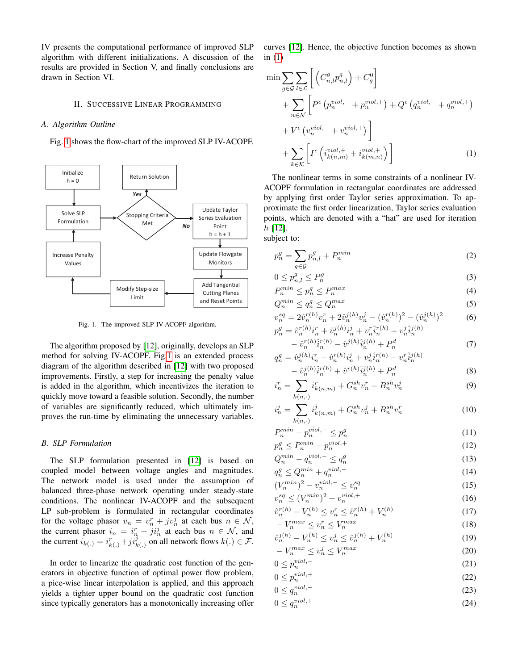IV presents the computational performance of improved SLP algorithm with different initializations. A discussion of the results are provided in Section V, and finally conclusions are drawn in Section VI.

## II. SUCCESSIVE LINEAR PROGRAMMING

# *A. Algorithm Outline*

Fig. [1](#page-1-0) shows the flow-chart of the improved SLP IV-ACOPF.



<span id="page-1-0"></span>Fig. 1. The improved SLP IV-ACOPF algorithm.

The algorithm proposed by [\[12\]](#page-4-9), originally, develops an SLP method for solving IV-ACOPF. Fig[.1](#page-1-0) is an extended process diagram of the algorithm described in [\[12\]](#page-4-9) with two proposed improvements. Firstly, a step for increasing the penalty value is added in the algorithm, which incentivizes the iteration to quickly move toward a feasible solution. Secondly, the number of variables are significantly reduced, which ultimately improves the run-time by eliminating the unnecessary variables.

## *B. SLP Formulation*

The SLP formulation presented in [\[12\]](#page-4-9) is based on coupled model between voltage angles and magnitudes. The network model is used under the assumption of balanced three-phase network operating under steady-state conditions. The nonlinear IV-ACOPF and the subsequent LP sub-problem is formulated in rectangular coordinates for the voltage phasor  $v_n = v_n^r + jv_n^j$  at each bus  $n \in \mathcal{N}$ , the current phasor  $i_n = i_n^r + j i_n^j$  at each bus  $n \in \mathcal{N}$ , and the current  $i_{k(.)} = i_{k(.)}^r + j i_{k(.)}^j$  on all network flows  $k(.) \in \mathcal{F}$ .

In order to linearize the quadratic cost function of the generators in objective function of optimal power flow problem, a pice-wise linear interpolation is applied, and this approach yields a tighter upper bound on the quadratic cost function since typically generators has a monotonically increasing offer

curves [\[12\]](#page-4-9). Hence, the objective function becomes as shown in  $(1)$ 

$$
\min \sum_{g \in \mathcal{G}} \sum_{l \in \mathcal{L}} \left[ \left( C_{n,l}^g p_{n,l}^g \right) + C_g^0 \right] \n+ \sum_{n \in \mathcal{N}} \left[ P^{\epsilon} \left( p_n^{viol, -} + p_n^{ viol, +} \right) + Q^{\epsilon} \left( q_n^{ viol, -} + q_n^{ viol, +} \right) \n+ V^{\epsilon} \left( v_n^{viol, -} + v_n^{ viol, +} \right) \right] \n+ \sum_{k \in \mathcal{K}} \left[ I^{\epsilon} \left( i_{k(n,m)}^{viol, +} + i_{k(m,n)}^{viol, +} \right) \right]
$$
\n(1)

<span id="page-1-1"></span>The nonlinear terms in some constraints of a nonlinear IV-ACOPF formulation in rectangular coordinates are addressed by applying first order Taylor series approximation. To approximate the first order linearization, Taylor series evaluation points, which are denoted with a "hat" are used for iteration h [\[12\]](#page-4-9). subject to:

<span id="page-1-2"></span>
$$
p_n^g = \sum_{g \in \mathcal{G}} p_{n,l}^g + P_n^{min} \tag{2}
$$

<span id="page-1-4"></span><span id="page-1-3"></span>
$$
0 \le p_{n,l}^g \le P_n^g \tag{3}
$$

$$
P_n^{min} \le p_n^g \le P_n^{max} \tag{4}
$$

$$
Q_n^{min} \le q_n^g \le Q_n^{max} \tag{5}
$$

$$
v_n^{sq} = 2\hat{v}_n^{r(h)}v_n^r + 2\hat{v}_n^{j(h)}v_n^j - (\hat{v}_n^{r(h)})^2 - (\hat{v}_n^{j(h)})^2 \tag{6}
$$

$$
p_n^g = \hat{v}_n^{r(h)} i_n^r + \hat{v}_n^{j(h)} i_n^j + v_n^r \hat{i}_n^{r(h)} + v_n^j \hat{i}_n^{j(h)} - \hat{v}_n^{r(h)} \hat{i}_n^{r(h)} - \hat{v}^{j(h)} \hat{i}_n^{j(h)} + P_n^d
$$
\n
$$
(7)
$$

$$
q_n^g = \hat{v}_n^{j(h)} i_n^r - \hat{v}_n^{r(h)} i_n^j + v_n^j \hat{i}_n^{r(h)} - v_n^r \hat{i}_n^{j(h)} - \hat{v}_n^{j(h)} \hat{i}_n^{r(h)} + \hat{v}^{r(h)} \hat{i}_n^{j(h)} + P_n^d
$$
(8)

$$
i_n^r = \sum_{k(n,\cdot)} i_{k(n,m)}^r + G_n^{sh} v_n^r - B_n^{sh} v_n^j \tag{9}
$$

$$
i_n^j = \sum_{k(n,\cdot)} i_{k(n,m)}^j + G_n^{sh} v_n^j + B_n^{sh} v_n^r \tag{10}
$$

$$
P_n^{min} - p_n^{viol, -} \le p_n^g \tag{11}
$$

$$
p_n^g \le P_n^{min} + p_n^{viol,+}
$$
\n
$$
O^{min} - \sigma^{viol,-} < \sigma^g \tag{13}
$$

$$
Q_n^{min} - q_n^{viol,-} \leq q_n^g
$$
  
\n
$$
q_n^g \leq Q_n^{min} + q_n^{viol,+}
$$
\n(13)

$$
q_n \le \varphi_n + q_n
$$
  
\n
$$
(V_n^{\min})^2 - v_n^{\text{viol}, -} \le v_n^{\text{sq}}
$$
\n(15)

$$
v_n^{sq} \le (V_n^{min})^2 + v_n^{viol,+} \tag{16}
$$

$$
\hat{v}_n^{r(h)} - V_n^{(h)} \le v_n^r \le \hat{v}_n^{r(h)} + V_n^{(h)}
$$
\n
$$
-V_{n}^{max} < v_r^r < V_{n}^{max}
$$
\n
$$
(18)
$$

$$
-V_n^{max} \le v_n^r \le V_n^{max}
$$
\n
$$
\hat{\omega}^{(h)} = V^{(h)} < \omega^j < \hat{\omega}^{(h)} + V^{(h)}
$$
\n
$$
(10)
$$

$$
\hat{v}_n^{j(h)} - V_n^{(h)} \le v_n^j \le \hat{v}_n^{j(h)} + V_n^{(h)} \tag{19}
$$
\n
$$
-V_n^{max} \le v_n^j \le V_n^{max} \tag{20}
$$

$$
0 \le p_n^{viol, -}
$$
 (21)

$$
0 \le p_n^{viol,+} \tag{22}
$$

$$
0 \le q_n^{viol,-} \tag{23}
$$

$$
0 \le q_n^{viol,+} \tag{24}
$$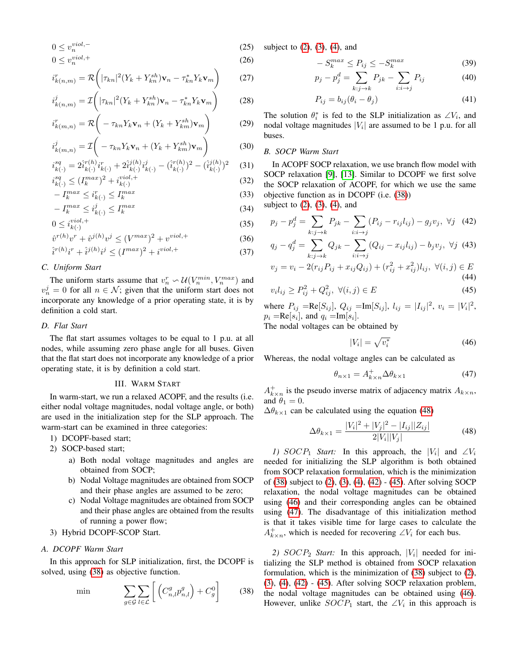$$
0 \le v_n^{viol,-}
$$
\n
$$
0 \le v_n^{viol,+}
$$
\n
$$
(25)
$$
\n
$$
(26)
$$

$$
i_{k(n,m)}^r = \mathcal{R}\bigg(|\tau_{kn}|^2(Y_k + Y_{kn}^{sh})\mathbf{v}_n - \tau_{kn}^* Y_k \mathbf{v}_m\bigg) \qquad (27)
$$

$$
i_{k(n,m)}^j = \mathcal{I}\bigg(|\tau_{kn}|^2 (Y_k + Y_{kn}^{sh}) \mathbf{v}_n - \tau_{kn}^* Y_k \mathbf{v}_m\bigg) \tag{28}
$$

$$
i_{k(m,n)}^r = \mathcal{R}\left(-\tau_{kn}Y_k\mathbf{v}_n + (Y_k + Y_{km}^{sh})\mathbf{v}_m\right)
$$
 (29)

$$
i_{k(m,n)}^j = \mathcal{I}\left(-\tau_{kn}Y_k\mathbf{v}_n + (Y_k + Y_{km}^{sh})\mathbf{v}_m\right)
$$
(30)

$$
i_{k(\cdot)}^{sq} = 2\hat{i}_{k(\cdot)}^{r(h)}i_{k(\cdot)}^{r} + 2\hat{i}_{k(\cdot)}^{j(h)}i_{k(\cdot)}^{j} - (\hat{i}_{k(\cdot)}^{r(h)})^{2} - (\hat{i}_{k(\cdot)}^{j(h)})^{2} \tag{31}
$$
  

$$
i_{j}^{sq} \leq (I_{k}^{max})^{2} + i_{j}^{viol,+} \tag{32}
$$

$$
S_{k(\cdot)}^{sq} \le (I_k^{max})^2 + i_{k(\cdot)}^{viol,+}
$$
  
-  $I_k^{max} \le i_{k(\cdot)}^r \le I_k^{max}$  (33)

$$
-I_k^{max} \le i_{k(\cdot)}^r \le I_k^{max}
$$
\n
$$
-I_k^{max} \le i_{k(\cdot)}^j \le I_k^{max}
$$
\n(33)

$$
0 \le i_{k(\cdot)}^{\text{viol},+} \tag{35}
$$

$$
\hat{v}^{r(h)}v^r + \hat{v}^{j(h)}v^j \le (V^{max})^2 + v^{viol,+}
$$
\n(36)

$$
\hat{i}^{r(h)}i^r + \hat{i}^{j(h)}i^j \le (I^{max})^2 + i^{viol,+}
$$
\n(37)

# *C. Uniform Start*

The uniform starts assume that  $v_n^r \sim \mathcal{U}(V_n^{min}, V_n^{max})$  and  $v_n^j = 0$  for all  $n \in \mathcal{N}$ ; given that the uniform start does not incorporate any knowledge of a prior operating state, it is by definition a cold start.

# *D. Flat Start*

The flat start assumes voltages to be equal to 1 p.u. at all nodes, while assuming zero phase angle for all buses. Given that the flat start does not incorporate any knowledge of a prior operating state, it is by definition a cold start.

### III. WARM START

In warm-start, we run a relaxed ACOPF, and the results (i.e. either nodal voltage magnitudes, nodal voltage angle, or both) are used in the initialization step for the SLP approach. The warm-start can be examined in three categories:

- 1) DCOPF-based start;
- 2) SOCP-based start;
	- a) Both nodal voltage magnitudes and angles are obtained from SOCP;
	- b) Nodal Voltage magnitudes are obtained from SOCP and their phase angles are assumed to be zero;
	- c) Nodal Voltage magnitudes are obtained from SOCP and their phase angles are obtained from the results of running a power flow;

# 3) Hybrid DCOPF-SCOP Start.

# *A. DCOPF Warm Start*

In this approach for SLP initialization, first, the DCOPF is solved, using [\(38\)](#page-2-0) as objective function.

$$
\min \qquad \sum_{g \in \mathcal{G}} \sum_{l \in \mathcal{L}} \left[ \left( C_{n,l}^g p_{n,l}^g \right) + C_g^0 \right] \qquad (38)
$$

subject to  $(2)$ ,  $(3)$ ,  $(4)$ , and

<span id="page-2-6"></span>
$$
-S_k^{max} \le P_{ij} \le -S_k^{max} \tag{39}
$$

<span id="page-2-7"></span>
$$
p_j - p_j^d = \sum_{k: j \to k} P_{jk} - \sum_{i: i \to j} P_{ij}
$$
 (40)

<span id="page-2-8"></span>
$$
P_{ij} = b_{ij}(\theta_i - \theta_j) \tag{41}
$$

The solution  $\theta_i^*$  is fed to the SLP initialization as  $\angle V_i$ , and nodal voltage magnitudes  $|V_i|$  are assumed to be 1 p.u. for all buses.

## *B. SOCP Warm Start*

In ACOPF SOCP relaxation, we use branch flow model with SOCP relaxation [\[9\]](#page-4-10), [\[13\]](#page-4-11). Similar to DCOPF we first solve the SOCP relaxation of ACOPF, for which we use the same objective function as in DCOPF (i.e. [\(38\)](#page-2-0)) subject to  $(2)$ ,  $(3)$ ,  $(4)$ , and

 $p_j - p_j^d = \sum$  $k: j \rightarrow k$  $P_{jk} - \sum$  $i:i\rightarrow j$  $(P_{ij} - r_{ij}l_{ij}) - g_jv_j$ ,  $\forall j$  (42)

$$
q_j - q_j^d = \sum_{k: j \to k} Q_{jk} - \sum_{i: i \to j} (Q_{ij} - x_{ij} l_{ij}) - b_j v_j, \ \forall j \ (43)
$$

$$
v_j = v_i - 2(r_{ij}P_{ij} + x_{ij}Q_{ij}) + (r_{ij}^2 + x_{ij}^2)l_{ij}, \ \forall (i, j) \in E
$$
\n(44)

$$
v_i l_{ij} \ge P_{ij}^2 + Q_{ij}^2, \ \forall (i, j) \in E
$$
 (45)

where  $P_{ij} = \text{Re}[S_{ij}], Q_{ij} = \text{Im}[S_{ij}], l_{ij} = |I_{ij}|^2, v_i = |V_i|^2,$  $p_i = \text{Re}[s_i]$ , and  $q_i = \text{Im}[s_i]$ .

The nodal voltages can be obtained by

<span id="page-2-5"></span><span id="page-2-4"></span><span id="page-2-3"></span><span id="page-2-2"></span>
$$
|V_i| = \sqrt{v_i^*} \tag{46}
$$

Whereas, the nodal voltage angles can be calculated as

<span id="page-2-1"></span>
$$
\theta_{n\times 1} = A_{k\times n}^+ \Delta \theta_{k\times 1} \tag{47}
$$

 $A^+_{k \times n}$  is the pseudo inverse matrix of adjacency matrix  $A_{k \times n}$ , and  $\theta_1 = 0$ .

 $\Delta\theta_{k\times1}$  can be calculated using the equation [\(48\)](#page-2-1)

$$
\Delta \theta_{k \times 1} = \frac{|V_i|^2 + |V_j|^2 - |I_{ij}||Z_{ij}|}{2|V_i||V_j|} \tag{48}
$$

*1)*  $SOCP_1$  *Start:* In this approach, the  $|V_i|$  and  $\angle V_i$ needed for initializing the SLP algorithm is both obtained from SOCP relaxation formulation, which is the minimization of [\(38\)](#page-2-0) subject to [\(2\)](#page-1-2), [\(3\)](#page-1-3), [\(4\)](#page-1-4), [\(42\)](#page-2-2) - [\(45\)](#page-2-3). After solving SOCP relaxation, the nodal voltage magnitudes can be obtained using [\(46\)](#page-2-4) and their corresponding angles can be obtained using [\(47\)](#page-2-5). The disadvantage of this initialization method is that it takes visible time for large cases to calculate the  $A^+_{k \times n}$ , which is needed for recovering  $\angle V_i$  for each bus.

<span id="page-2-0"></span>2)  $SOCP_2$  *Start:* In this approach,  $|V_i|$  needed for initializing the SLP method is obtained from SOCP relaxation formulation, which is the minimization of [\(38\)](#page-2-0) subject to [\(2\)](#page-1-2),  $(3)$ ,  $(4)$ ,  $(42)$  -  $(45)$ . After solving SOCP relaxation problem, the nodal voltage magnitudes can be obtained using [\(46\)](#page-2-4). However, unlike  $SOCP_1$  start, the ∠ $V_i$  in this approach is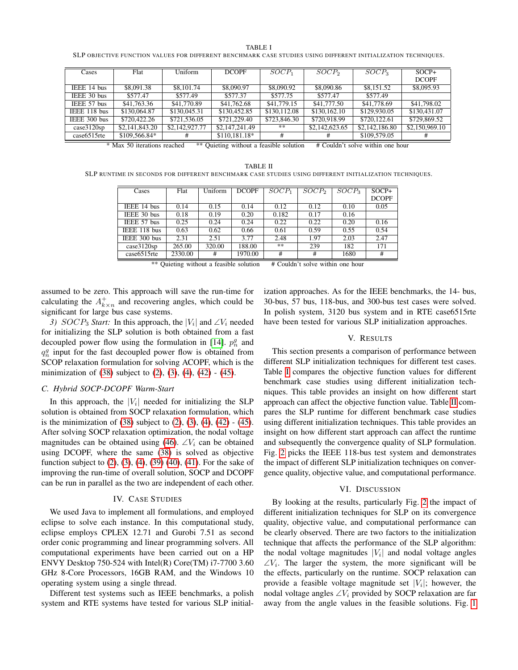| . . |  |
|-----|--|
|-----|--|

SLP OBJECTIVE FUNCTION VALUES FOR DIFFERENT BENCHMARK CASE STUDIES USING DIFFERENT INITIALIZATION TECHNIQUES.

<span id="page-3-0"></span>

| Cases        | Flat           | Uniform        | <b>DCOPF</b>   | SOCP <sub>1</sub> | SOCP <sub>2</sub> | SOCP <sub>3</sub> | $SOCP+$        |
|--------------|----------------|----------------|----------------|-------------------|-------------------|-------------------|----------------|
|              |                |                |                |                   |                   |                   | <b>DCOPF</b>   |
| IEEE 14 bus  | \$8,091.38     | \$8,101.74     | \$8,090.97     | \$8,090.92        | \$8,090.86        | \$8,151.52        | \$8,095.93     |
| IEEE 30 bus  | \$577.47       | \$577.49       | \$577.37       | \$577.75          | \$577.47          | \$577.49          |                |
| IEEE 57 bus  | \$41,763.36    | \$41,770.89    | \$41,762.68    | \$41,779.15       | \$41,777.50       | \$41,778.69       | \$41,798.02    |
| IEEE 118 bus | \$130,064.87   | \$130,045.31   | \$130,452.85   | \$130,112.08      | \$130,162.10      | \$129,930.05      | \$130,431.07   |
| IEEE 300 bus | \$720,422.26   | \$721,536.05   | \$721,229.40   | \$723,846.30      | \$720,918.99      | \$720,122.61      | \$729,869.52   |
| case3120sp   | \$2,141,843.20 | \$2,142,927.77 | \$2,147,241.49 | **                | \$2,142,623.65    | \$2,142,186.80    | \$2,150,969.10 |
| case 6515rte | \$109,566.84*  | #              | \$110,181.18*  | #                 | #                 | \$109,579.05      | #              |

\* Max 50 iterations reached \*\* Quieting without a feasible solution # Couldn't solve within one hour

<span id="page-3-1"></span>TABLE II SLP RUNTIME IN SECONDS FOR DIFFERENT BENCHMARK CASE STUDIES USING DIFFERENT INITIALIZATION TECHNIQUES.

| Cases        | Flat    | Uniform | <b>DCOPF</b> | $SOCP_1$ | SOCP <sub>2</sub> | SOCP <sub>3</sub> | $SOCP+$      |
|--------------|---------|---------|--------------|----------|-------------------|-------------------|--------------|
|              |         |         |              |          |                   |                   | <b>DCOPF</b> |
| IEEE 14 bus  | 0.14    | 0.15    | 0.14         | 0.12     | 0.12              | 0.10              | 0.05         |
| IEEE 30 bus  | 0.18    | 0.19    | 0.20         | 0.182    | 0.17              | 0.16              |              |
| IEEE 57 bus  | 0.25    | 0.24    | 0.24         | 0.22     | 0.22              | 0.20              | 0.16         |
| IEEE 118 bus | 0.63    | 0.62    | 0.66         | 0.61     | 0.59              | 0.55              | 0.54         |
| IEEE 300 bus | 2.31    | 2.51    | 3.77         | 2.48     | 1.97              | 2.03              | 2.47         |
| case3120sp   | 265.00  | 320.00  | 188.00       | **       | 239               | 182               | 171          |
| case 6515rte | 2330.00 | #       | 1970.00      | #        | #                 | 1680              | #            |

\*\* Quieting without a feasible solution # Couldn't solve within one hour

assumed to be zero. This approach will save the run-time for calculating the  $A^+_{k \times n}$  and recovering angles, which could be significant for large bus case systems.

3)  $SOCP_3$  *Start:* In this approach, the  $|V_i|$  and  $\angle V_i$  needed for initializing the SLP solution is both obtained from a fast decoupled power flow using the formulation in [\[14\]](#page-4-12).  $p_n^g$  and  $q_n^g$  input for the fast decoupled power flow is obtained from SCOP relaxation formulation for solving ACOPF, which is the minimization of [\(38\)](#page-2-0) subject to [\(2\)](#page-1-2), [\(3\)](#page-1-3), [\(4\)](#page-1-4), [\(42\)](#page-2-2) - [\(45\)](#page-2-3).

## *C. Hybrid SOCP-DCOPF Warm-Start*

In this approach, the  $|V_i|$  needed for initializing the SLP solution is obtained from SOCP relaxation formulation, which is the minimization of  $(38)$  subject to  $(2)$ ,  $(3)$ ,  $(4)$ ,  $(42)$  -  $(45)$ . After solving SOCP relaxation optimization, the nodal voltage magnitudes can be obtained using [\(46\)](#page-2-4).  $\angle V_i$  can be obtained using DCOPF, where the same [\(38\)](#page-2-0) is solved as objective function subject to [\(2\)](#page-1-2), [\(3\)](#page-1-3), [\(4\)](#page-1-4), [\(39\)](#page-2-6) [\(40\)](#page-2-7), [\(41\)](#page-2-8). For the sake of improving the run-time of overall solution, SOCP and DCOPF can be run in parallel as the two are independent of each other.

## IV. CASE STUDIES

We used Java to implement all formulations, and employed eclipse to solve each instance. In this computational study, eclipse employs CPLEX 12.71 and Gurobi 7.51 as second order conic programming and linear programming solvers. All computational experiments have been carried out on a HP ENVY Desktop 750-524 with Intel(R) Core(TM) i7-7700 3.60 GHz 8-Core Processors, 16GB RAM, and the Windows 10 operating system using a single thread.

Different test systems such as IEEE benchmarks, a polish system and RTE systems have tested for various SLP initialization approaches. As for the IEEE benchmarks, the 14- bus, 30-bus, 57 bus, 118-bus, and 300-bus test cases were solved. In polish system, 3120 bus system and in RTE case6515rte have been tested for various SLP initialization approaches.

#### V. RESULTS

This section presents a comparison of performance between different SLP initialization techniques for different test cases. Table [I](#page-3-0) compares the objective function values for different benchmark case studies using different initialization techniques. This table provides an insight on how different start approach can affect the objective function value. Table [II](#page-3-1) compares the SLP runtime for different benchmark case studies using different initialization techniques. This table provides an insight on how different start approach can affect the runtime and subsequently the convergence quality of SLP formulation. Fig. [2](#page-4-13) picks the IEEE 118-bus test system and demonstrates the impact of different SLP initialization techniques on convergence quality, objective value, and computational performance.

# VI. DISCUSSION

By looking at the results, particularly Fig. [2](#page-4-13) the impact of different initialization techniques for SLP on its convergence quality, objective value, and computational performance can be clearly observed. There are two factors to the initialization technique that affects the performance of the SLP algorithm: the nodal voltage magnitudes  $|V_i|$  and nodal voltage angles  $\angle V_i$ . The larger the system, the more significant will be the effects, particularly on the runtime. SOCP relaxation can provide a feasible voltage magnitude set  $|V_i|$ ; however, the nodal voltage angles  $\angle V_i$  provided by SOCP relaxation are far away from the angle values in the feasible solutions. Fig. [1](#page-1-0)